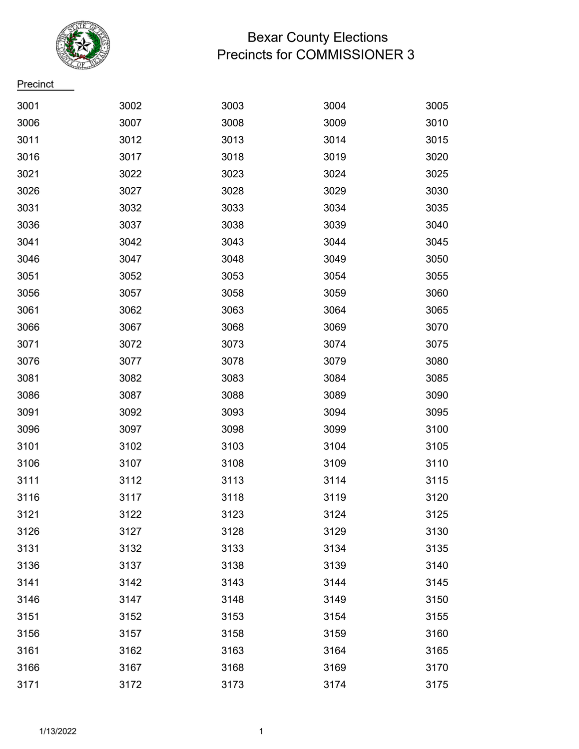

## Bexar County Elections Precincts for COMMISSIONER 3

**Precinct** 

| 3001 | 3002 | 3003 | 3004 | 3005 |
|------|------|------|------|------|
| 3006 | 3007 | 3008 | 3009 | 3010 |
| 3011 | 3012 | 3013 | 3014 | 3015 |
| 3016 | 3017 | 3018 | 3019 | 3020 |
| 3021 | 3022 | 3023 | 3024 | 3025 |
| 3026 | 3027 | 3028 | 3029 | 3030 |
| 3031 | 3032 | 3033 | 3034 | 3035 |
| 3036 | 3037 | 3038 | 3039 | 3040 |
| 3041 | 3042 | 3043 | 3044 | 3045 |
| 3046 | 3047 | 3048 | 3049 | 3050 |
| 3051 | 3052 | 3053 | 3054 | 3055 |
| 3056 | 3057 | 3058 | 3059 | 3060 |
| 3061 | 3062 | 3063 | 3064 | 3065 |
| 3066 | 3067 | 3068 | 3069 | 3070 |
| 3071 | 3072 | 3073 | 3074 | 3075 |
| 3076 | 3077 | 3078 | 3079 | 3080 |
| 3081 | 3082 | 3083 | 3084 | 3085 |
| 3086 | 3087 | 3088 | 3089 | 3090 |
| 3091 | 3092 | 3093 | 3094 | 3095 |
| 3096 | 3097 | 3098 | 3099 | 3100 |
| 3101 | 3102 | 3103 | 3104 | 3105 |
| 3106 | 3107 | 3108 | 3109 | 3110 |
| 3111 | 3112 | 3113 | 3114 | 3115 |
| 3116 | 3117 | 3118 | 3119 | 3120 |
| 3121 | 3122 | 3123 | 3124 | 3125 |
| 3126 | 3127 | 3128 | 3129 | 3130 |
| 3131 | 3132 | 3133 | 3134 | 3135 |
| 3136 | 3137 | 3138 | 3139 | 3140 |
| 3141 | 3142 | 3143 | 3144 | 3145 |
| 3146 | 3147 | 3148 | 3149 | 3150 |
| 3151 | 3152 | 3153 | 3154 | 3155 |
| 3156 | 3157 | 3158 | 3159 | 3160 |
| 3161 | 3162 | 3163 | 3164 | 3165 |
| 3166 | 3167 | 3168 | 3169 | 3170 |
| 3171 | 3172 | 3173 | 3174 | 3175 |